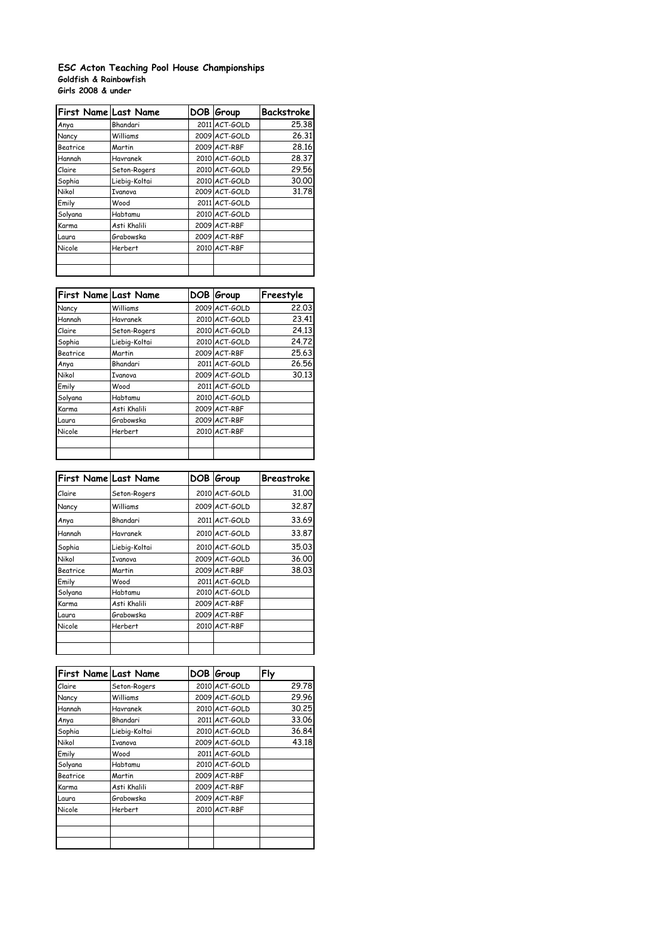## **Goldfish & Rainbowfish Girls 2008 & under ESC Acton Teaching Pool House Championships**

| First Name Last Name |                | DOB Group     | <b>Backstroke</b> |
|----------------------|----------------|---------------|-------------------|
| Anya                 | Bhandari       | 2011 ACT-GOLD | 25.38             |
| Nancy                | Williams       | 2009 ACT-GOLD | 26.31             |
| <b>Beatrice</b>      | Martin         | 2009 ACT-RBF  | 28.16             |
| Hannah               | Havranek       | 2010 ACT-GOLD | 28,37             |
| Claire               | Seton-Rogers   | 2010 ACT-GOLD | 29.56             |
| Sophia               | Liebig-Koltai  | 2010 ACT-GOLD | 30,00             |
| Nikol                | <b>Ivanova</b> | 2009 ACT-GOLD | 31.78             |
| Emily                | Wood           | 2011 ACT-GOLD |                   |
| Solyana              | Habtamu        | 2010 ACT-GOLD |                   |
| Karma                | Asti Khalili   | 2009 ACT-RBF  |                   |
| Laura                | Grabowska      | 2009 ACT-RBF  |                   |
| Nicole               | Herbert        | 2010 ACT-RBF  |                   |
|                      |                |               |                   |
|                      |                |               |                   |

| First Name Last Name |                | DOB Group     | Freestyle |
|----------------------|----------------|---------------|-----------|
| Nancy                | Williams       | 2009 ACT-GOLD | 22.03     |
| Hannah               | Havranek       | 2010 ACT-GOLD | 23.41     |
| Claire               | Seton-Rogers   | 2010 ACT-GOLD | 24.13     |
| Sophia               | Liebig-Koltai  | 2010 ACT-GOLD | 24.72     |
| Beatrice             | Martin         | 2009 ACT-RBF  | 25.63     |
| Anya                 | Bhandari       | 2011 ACT-GOLD | 26.56     |
| Nikol                | Ivanova        | 2009 ACT-GOLD | 30.13     |
| Emily                | Wood           | 2011 ACT-GOLD |           |
| Solyana              | Habtamu        | 2010 ACT-GOLD |           |
| Karma                | Asti Khalili   | 2009 ACT-RBF  |           |
| Laura                | Grabowska      | 2009 ACT-RBF  |           |
| Nicole               | <b>Herbert</b> | 2010 ACT-RBF  |           |
|                      |                |               |           |
|                      |                |               |           |

| <b>First Name Last Name</b> |                | DOB Group     | Breastroke |
|-----------------------------|----------------|---------------|------------|
| Claire                      | Seton-Rogers   | 2010 ACT-GOLD | 31.00      |
| Nancy                       | Williams       | 2009 ACT-GOLD | 32.87      |
| Anya                        | Bhandari       | 2011 ACT-GOLD | 33.69      |
| Hannah                      | Havranek       | 2010 ACT-GOLD | 33.87      |
| Sophia                      | Liebig-Koltai  | 2010 ACT-GOLD | 35.03      |
| Nikol                       | Ivanova        | 2009 ACT-GOLD | 36,00      |
| Beatrice                    | Martin         | 2009 ACT-RBF  | 38.03      |
| Emily                       | Wood           | 2011 ACT-GOLD |            |
| Solyana                     | Habtamu        | 2010 ACT-GOLD |            |
| Karma                       | Asti Khalili   | 2009 ACT-RBF  |            |
| Laura                       | Grabowska      | 2009 ACT-RBF  |            |
| Nicole                      | <b>Herbert</b> | 2010 ACT-RBF  |            |
|                             |                |               |            |
|                             |                |               |            |

| <b>First Name Last Name</b> |                | DOB Group     | Fly   |
|-----------------------------|----------------|---------------|-------|
| Claire                      | Seton-Rogers   | 2010 ACT-GOLD | 29.78 |
| Nancy                       | Williams       | 2009 ACT-GOLD | 29.96 |
| Hannah                      | Havranek       | 2010 ACT-GOLD | 30.25 |
| Anya                        | Bhandari       | 2011 ACT-GOLD | 33.06 |
| Sophia                      | Liebig-Koltai  | 2010 ACT-GOLD | 36.84 |
| Nikol                       | <b>Ivanova</b> | 2009 ACT-GOLD | 43.18 |
| Emily                       | Wood           | 2011 ACT-GOLD |       |
| Solyana                     | Habtamu        | 2010 ACT-GOLD |       |
| Beatrice                    | Martin         | 2009 ACT-RBF  |       |
| Karma                       | Asti Khalili   | 2009 ACT-RBF  |       |
| Laura                       | Grabowska      | 2009 ACT-RBF  |       |
| Nicole                      | <b>Herbert</b> | 2010 ACT-RBF  |       |
|                             |                |               |       |
|                             |                |               |       |
|                             |                |               |       |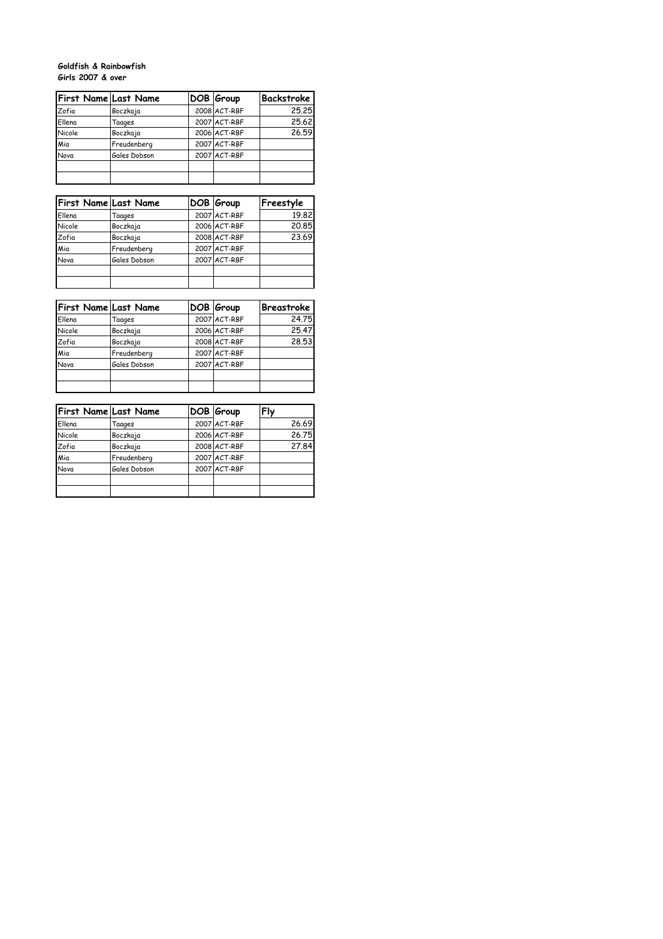## **Goldfish & Rainbowfish Girls 2007 & over**

|        | First Name Last Name | DOB Group    | Backstroke |
|--------|----------------------|--------------|------------|
| Zofia  | Boczkaja             | 2008 ACT-RBF | 25.25      |
| Ellena | Taages               | 2007 ACT-RBF | 25.62      |
| Nicole | Boczkaja             | 2006 ACT-RBF | 26.59      |
| Mia    | Freudenberg          | 2007 ACT-RBF |            |
| Nova   | Gales Dobson         | 2007 ACT-RBF |            |
|        |                      |              |            |
|        |                      |              |            |

|        | <b>First Name Last Name</b> | DOB Group    | Freestyle |
|--------|-----------------------------|--------------|-----------|
| Ellena | Taages                      | 2007 ACT-RBF | 19.82     |
| Nicole | Boczkaja                    | 2006 ACT-RBF | 20.85     |
| Zofia  | Boczkaja                    | 2008 ACT-RBF | 23.69     |
| Mia    | Freudenberg                 | 2007 ACT-RBF |           |
| Nova   | Gales Dobson                | 2007 ACT-RBF |           |
|        |                             |              |           |
|        |                             |              |           |

|        | <b>First Name Last Name</b> | DOB Group    | <b>Breastroke</b> |
|--------|-----------------------------|--------------|-------------------|
| Ellena | Taages                      | 2007 ACT-RBF | 24.75             |
| Nicole | Boczkaja                    | 2006 ACT-RBF | 25.47             |
| Zofia  | Boczkaja                    | 2008 ACT-RBF | 28.53             |
| Mia    | Freudenberg                 | 2007 ACT-RBF |                   |
| Nova   | Gales Dobson                | 2007 ACT-RBF |                   |
|        |                             |              |                   |
|        |                             |              |                   |

|        | <b>First Name Last Name</b> | DOB Group    | Flv   |
|--------|-----------------------------|--------------|-------|
| Ellena | Taages                      | 2007 ACT-RBF | 26.69 |
| Nicole | Boczkaja                    | 2006 ACT-RBF | 26.75 |
| Zofia  | Boczkaja                    | 2008 ACT-RBF | 27.84 |
| Mia    | Freudenberg                 | 2007 ACT-RBF |       |
| Nova   | Gales Dobson                | 2007 ACT-RBF |       |
|        |                             |              |       |
|        |                             |              |       |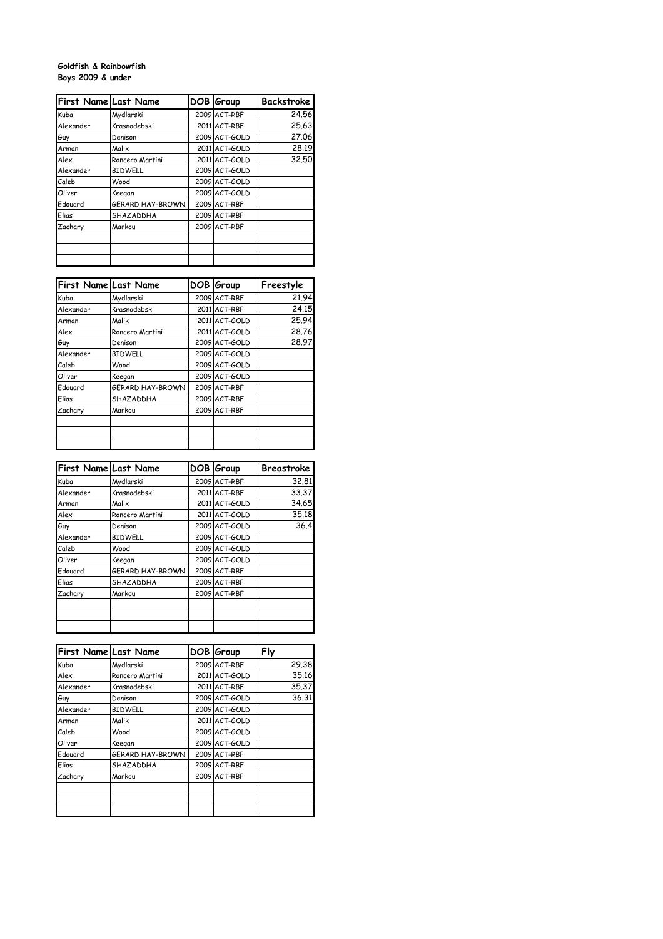## **Goldfish & Rainbowfish Boys 2009 & under**

| First Name Last Name |                  | DOB Group     | Backstroke |
|----------------------|------------------|---------------|------------|
| Kuba                 | Mydlarski        | 2009 ACT-RBF  | 24.56      |
| Alexander            | Krasnodebski     | 2011 ACT-RBF  | 25.63      |
| Guy                  | Denison          | 2009 ACT-GOLD | 27.06      |
| Arman                | Malik            | 2011 ACT-GOLD | 28.19      |
| Alex                 | Roncero Martini  | 2011 ACT-GOLD | 32.50      |
| Alexander            | <b>BIDWELL</b>   | 2009 ACT-GOLD |            |
| Caleb                | Wood             | 2009 ACT-GOLD |            |
| Oliver               | Keegan           | 2009 ACT-GOLD |            |
| Edouard              | GERARD HAY-BROWN | 2009 ACT-RBF  |            |
| Elias                | SHAZADDHA        | 2009 ACT-RBF  |            |
| Zachary              | Markou           | 2009 ACT-RBF  |            |
|                      |                  |               |            |
|                      |                  |               |            |
|                      |                  |               |            |

| <b>First Name Last Name</b> |                  | DOB Group     | Freestyle |
|-----------------------------|------------------|---------------|-----------|
| Kuba                        | Mydlarski        | 2009 ACT-RBF  | 21.94     |
| Alexander                   | Krasnodebski     | 2011 ACT-RBF  | 24.15     |
| Arman                       | Malik            | 2011 ACT-GOLD | 25.94     |
| Alex                        | Roncero Martini  | 2011 ACT-GOLD | 28.76     |
| Guy                         | Denison          | 2009 ACT-GOLD | 28.97     |
| Alexander                   | <b>BIDWELL</b>   | 2009 ACT-GOLD |           |
| Caleb                       | Wood             | 2009 ACT-GOLD |           |
| Oliver                      | Keegan           | 2009 ACT-GOLD |           |
| Edouard                     | GERARD HAY-BROWN | 2009 ACT-RBF  |           |
| Elias                       | SHAZADDHA        | 2009 ACT-RBF  |           |
| Zachary                     | Markou           | 2009 ACT-RBF  |           |
|                             |                  |               |           |
|                             |                  |               |           |
|                             |                  |               |           |

| <b>First Name Last Name</b> |                  | DOB | Group         | Breastroke |
|-----------------------------|------------------|-----|---------------|------------|
| Kuba                        | Mydlarski        |     | 2009 ACT-RBF  | 32.81      |
| Alexander                   | Krasnodebski     |     | 2011 ACT-RBF  | 33.37      |
| Arman                       | Malik            |     | 2011 ACT-GOLD | 34.65      |
| Alex                        | Roncero Martini  |     | 2011 ACT-GOLD | 35.18      |
| Guy                         | Denison          |     | 2009 ACT-GOLD | 36.4       |
| Alexander                   | <b>BIDWELL</b>   |     | 2009 ACT-GOLD |            |
| Caleb                       | Wood             |     | 2009 ACT-GOLD |            |
| Oliver                      | Keegan           |     | 2009 ACT-GOLD |            |
| Fdouard                     | GERARD HAY-BROWN |     | 2009 ACT-RBF  |            |
| Elias                       | SHAZADDHA        |     | 2009 ACT-RBF  |            |
| Zachary                     | Markou           |     | 2009 ACT-RBF  |            |
|                             |                  |     |               |            |
|                             |                  |     |               |            |
|                             |                  |     |               |            |

| First Name Last Name |                  | DOB Group     | Fly   |
|----------------------|------------------|---------------|-------|
| Kuba                 | Mydlarski        | 2009 ACT-RBF  | 29.38 |
| Alex                 | Roncero Martini  | 2011 ACT-GOLD | 35.16 |
| Alexander            | Krasnodebski     | 2011 ACT-RBF  | 35.37 |
| Guy                  | Denison          | 2009 ACT-GOLD | 36.31 |
| Alexander            | <b>BIDWELL</b>   | 2009 ACT-GOLD |       |
| Arman                | Malik            | 2011 ACT-GOLD |       |
| Caleb                | Wood             | 2009 ACT-GOLD |       |
| Oliver               | Keegan           | 2009 ACT-GOLD |       |
| Edouard              | GERARD HAY-BROWN | 2009 ACT-RBF  |       |
| Elias                | SHAZADDHA        | 2009 ACT-RBF  |       |
| Zachary              | Markou           | 2009 ACT-RBF  |       |
|                      |                  |               |       |
|                      |                  |               |       |
|                      |                  |               |       |